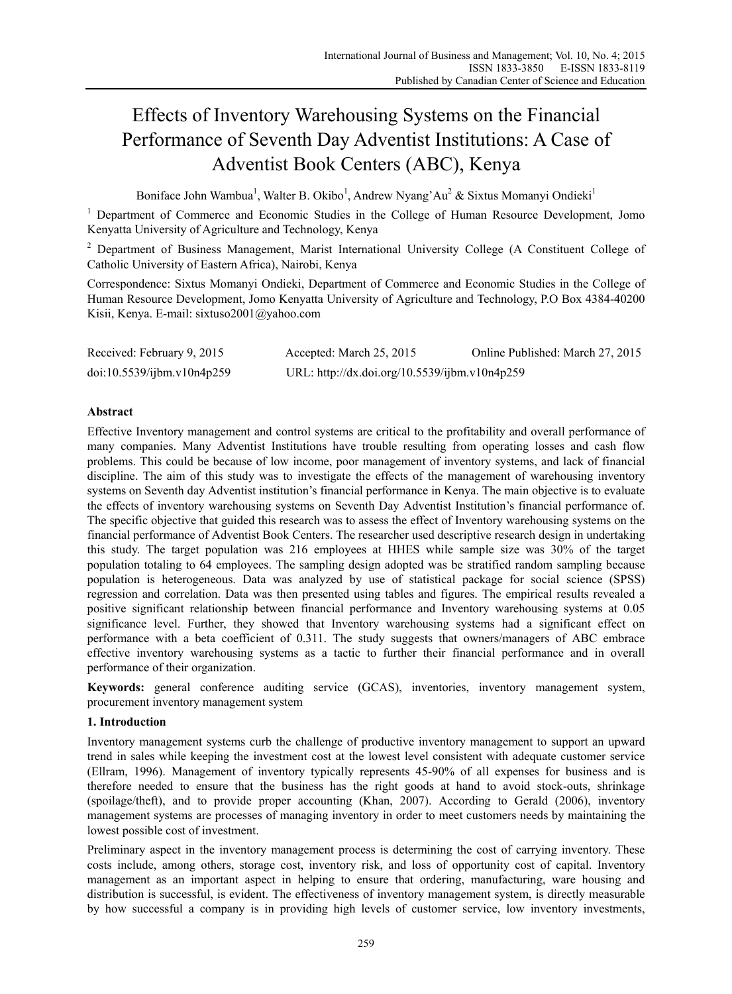# Effects of Inventory Warehousing Systems on the Financial Performance of Seventh Day Adventist Institutions: A Case of Adventist Book Centers (ABC), Kenya

Boniface John Wambua<sup>1</sup>, Walter B. Okibo<sup>1</sup>, Andrew Nyang'Au<sup>2</sup> & Sixtus Momanyi Ondieki<sup>1</sup>

<sup>1</sup> Department of Commerce and Economic Studies in the College of Human Resource Development, Jomo Kenyatta University of Agriculture and Technology, Kenya

<sup>2</sup> Department of Business Management, Marist International University College (A Constituent College of Catholic University of Eastern Africa), Nairobi, Kenya

Correspondence: Sixtus Momanyi Ondieki, Department of Commerce and Economic Studies in the College of Human Resource Development, Jomo Kenyatta University of Agriculture and Technology, P.O Box 4384-40200 Kisii, Kenya. E-mail: sixtuso2001@yahoo.com

| Received: February 9, 2015 | Accepted: March 25, 2015                      | Online Published: March 27, 2015 |
|----------------------------|-----------------------------------------------|----------------------------------|
| doi:10.5539/ijbm.v10n4p259 | URL: http://dx.doi.org/10.5539/ijbm.v10n4p259 |                                  |

# **Abstract**

Effective Inventory management and control systems are critical to the profitability and overall performance of many companies. Many Adventist Institutions have trouble resulting from operating losses and cash flow problems. This could be because of low income, poor management of inventory systems, and lack of financial discipline. The aim of this study was to investigate the effects of the management of warehousing inventory systems on Seventh day Adventist institution's financial performance in Kenya. The main objective is to evaluate the effects of inventory warehousing systems on Seventh Day Adventist Institution's financial performance of. The specific objective that guided this research was to assess the effect of Inventory warehousing systems on the financial performance of Adventist Book Centers. The researcher used descriptive research design in undertaking this study. The target population was 216 employees at HHES while sample size was 30% of the target population totaling to 64 employees. The sampling design adopted was be stratified random sampling because population is heterogeneous. Data was analyzed by use of statistical package for social science (SPSS) regression and correlation. Data was then presented using tables and figures. The empirical results revealed a positive significant relationship between financial performance and Inventory warehousing systems at 0.05 significance level. Further, they showed that Inventory warehousing systems had a significant effect on performance with a beta coefficient of 0.311. The study suggests that owners/managers of ABC embrace effective inventory warehousing systems as a tactic to further their financial performance and in overall performance of their organization.

**Keywords:** general conference auditing service (GCAS), inventories, inventory management system, procurement inventory management system

# **1. Introduction**

Inventory management systems curb the challenge of productive inventory management to support an upward trend in sales while keeping the investment cost at the lowest level consistent with adequate customer service (Ellram, 1996). Management of inventory typically represents 45-90% of all expenses for business and is therefore needed to ensure that the business has the right goods at hand to avoid stock-outs, shrinkage (spoilage/theft), and to provide proper accounting (Khan, 2007). According to Gerald (2006), inventory management systems are processes of managing inventory in order to meet customers needs by maintaining the lowest possible cost of investment.

Preliminary aspect in the inventory management process is determining the cost of carrying inventory. These costs include, among others, storage cost, inventory risk, and loss of opportunity cost of capital. Inventory management as an important aspect in helping to ensure that ordering, manufacturing, ware housing and distribution is successful, is evident. The effectiveness of inventory management system, is directly measurable by how successful a company is in providing high levels of customer service, low inventory investments,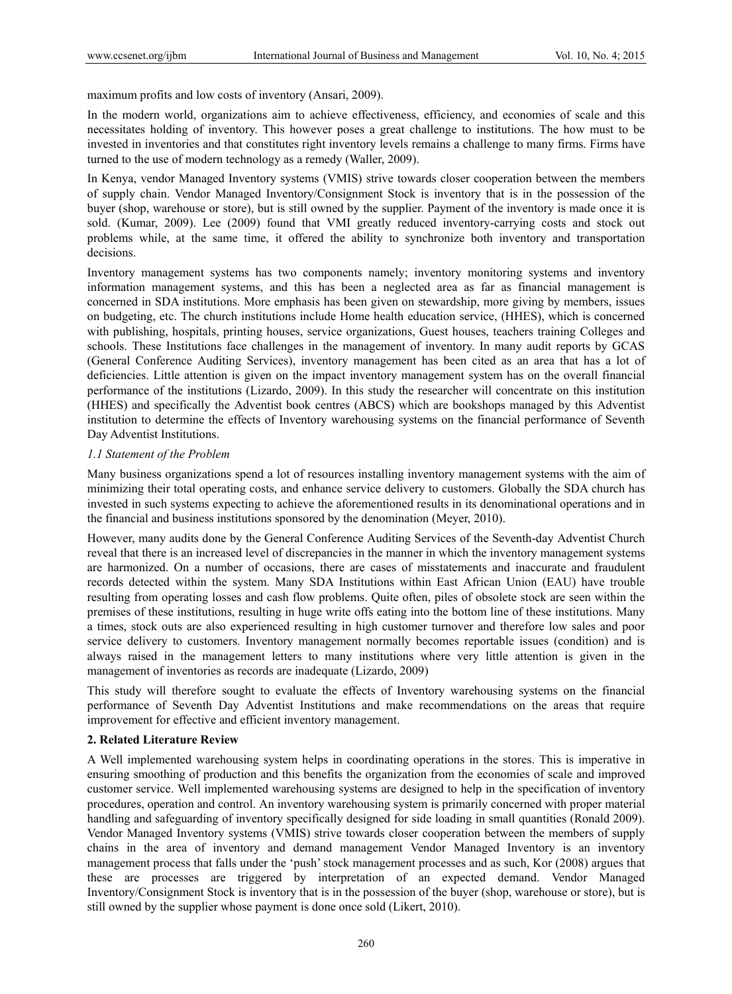maximum profits and low costs of inventory (Ansari, 2009).

In the modern world, organizations aim to achieve effectiveness, efficiency, and economies of scale and this necessitates holding of inventory. This however poses a great challenge to institutions. The how must to be invested in inventories and that constitutes right inventory levels remains a challenge to many firms. Firms have turned to the use of modern technology as a remedy (Waller, 2009).

In Kenya, vendor Managed Inventory systems (VMIS) strive towards closer cooperation between the members of supply chain. Vendor Managed Inventory/Consignment Stock is inventory that is in the possession of the buyer (shop, warehouse or store), but is still owned by the supplier. Payment of the inventory is made once it is sold. (Kumar, 2009). Lee (2009) found that VMI greatly reduced inventory-carrying costs and stock out problems while, at the same time, it offered the ability to synchronize both inventory and transportation decisions.

Inventory management systems has two components namely; inventory monitoring systems and inventory information management systems, and this has been a neglected area as far as financial management is concerned in SDA institutions. More emphasis has been given on stewardship, more giving by members, issues on budgeting, etc. The church institutions include Home health education service, (HHES), which is concerned with publishing, hospitals, printing houses, service organizations, Guest houses, teachers training Colleges and schools. These Institutions face challenges in the management of inventory. In many audit reports by GCAS (General Conference Auditing Services), inventory management has been cited as an area that has a lot of deficiencies. Little attention is given on the impact inventory management system has on the overall financial performance of the institutions (Lizardo, 2009). In this study the researcher will concentrate on this institution (HHES) and specifically the Adventist book centres (ABCS) which are bookshops managed by this Adventist institution to determine the effects of Inventory warehousing systems on the financial performance of Seventh Day Adventist Institutions.

# *1.1 Statement of the Problem*

Many business organizations spend a lot of resources installing inventory management systems with the aim of minimizing their total operating costs, and enhance service delivery to customers. Globally the SDA church has invested in such systems expecting to achieve the aforementioned results in its denominational operations and in the financial and business institutions sponsored by the denomination (Meyer, 2010).

However, many audits done by the General Conference Auditing Services of the Seventh-day Adventist Church reveal that there is an increased level of discrepancies in the manner in which the inventory management systems are harmonized. On a number of occasions, there are cases of misstatements and inaccurate and fraudulent records detected within the system. Many SDA Institutions within East African Union (EAU) have trouble resulting from operating losses and cash flow problems. Quite often, piles of obsolete stock are seen within the premises of these institutions, resulting in huge write offs eating into the bottom line of these institutions. Many a times, stock outs are also experienced resulting in high customer turnover and therefore low sales and poor service delivery to customers. Inventory management normally becomes reportable issues (condition) and is always raised in the management letters to many institutions where very little attention is given in the management of inventories as records are inadequate (Lizardo, 2009)

This study will therefore sought to evaluate the effects of Inventory warehousing systems on the financial performance of Seventh Day Adventist Institutions and make recommendations on the areas that require improvement for effective and efficient inventory management.

#### **2. Related Literature Review**

A Well implemented warehousing system helps in coordinating operations in the stores. This is imperative in ensuring smoothing of production and this benefits the organization from the economies of scale and improved customer service. Well implemented warehousing systems are designed to help in the specification of inventory procedures, operation and control. An inventory warehousing system is primarily concerned with proper material handling and safeguarding of inventory specifically designed for side loading in small quantities (Ronald 2009). Vendor Managed Inventory systems (VMIS) strive towards closer cooperation between the members of supply chains in the area of inventory and demand management Vendor Managed Inventory is an inventory management process that falls under the 'push' stock management processes and as such, Kor (2008) argues that these are processes are triggered by interpretation of an expected demand. Vendor Managed Inventory/Consignment Stock is inventory that is in the possession of the buyer (shop, warehouse or store), but is still owned by the supplier whose payment is done once sold (Likert, 2010).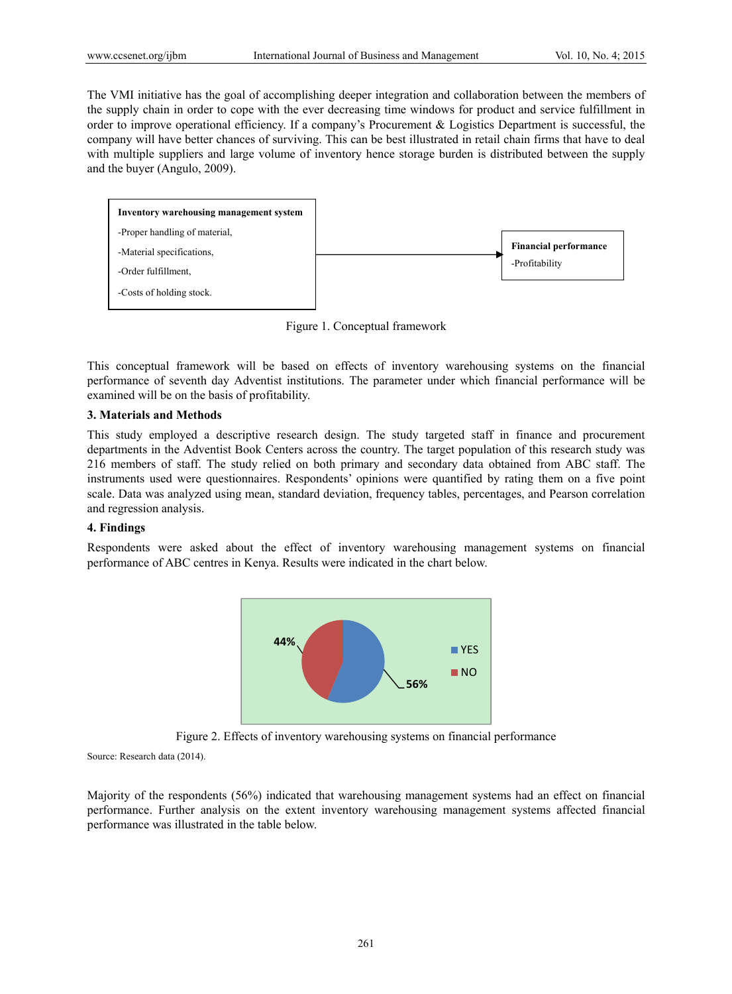The VMI initiative has the goal of accomplishing deeper integration and collaboration between the members of the supply chain in order to cope with the ever decreasing time windows for product and service fulfillment in order to improve operational efficiency. If a company's Procurement & Logistics Department is successful, the company will have better chances of surviving. This can be best illustrated in retail chain firms that have to deal with multiple suppliers and large volume of inventory hence storage burden is distributed between the supply and the buyer (Angulo, 2009).



Figure 1. Conceptual framework

This conceptual framework will be based on effects of inventory warehousing systems on the financial performance of seventh day Adventist institutions. The parameter under which financial performance will be examined will be on the basis of profitability.

### **3. Materials and Methods**

This study employed a descriptive research design. The study targeted staff in finance and procurement departments in the Adventist Book Centers across the country. The target population of this research study was 216 members of staff. The study relied on both primary and secondary data obtained from ABC staff. The instruments used were questionnaires. Respondents' opinions were quantified by rating them on a five point scale. Data was analyzed using mean, standard deviation, frequency tables, percentages, and Pearson correlation and regression analysis.

# **4. Findings**

Respondents were asked about the effect of inventory warehousing management systems on financial performance of ABC centres in Kenya. Results were indicated in the chart below.



Figure 2. Effects of inventory warehousing systems on financial performance

Source: Research data (2014).

Majority of the respondents (56%) indicated that warehousing management systems had an effect on financial performance. Further analysis on the extent inventory warehousing management systems affected financial performance was illustrated in the table below.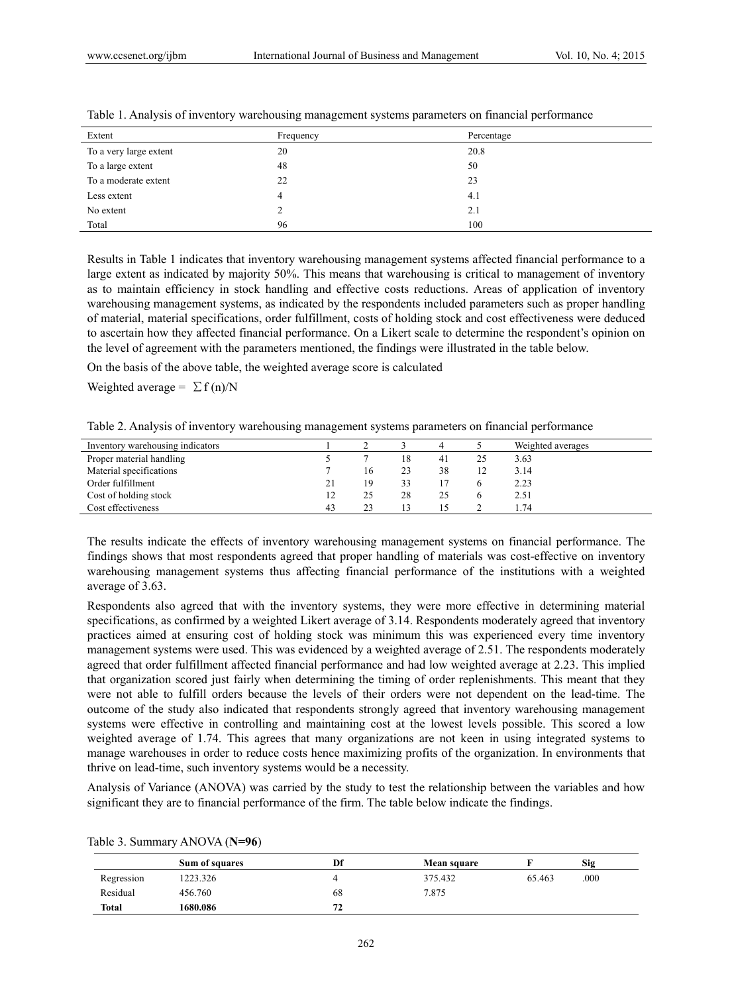| Extent                 | Frequency | Percentage |
|------------------------|-----------|------------|
| To a very large extent | 20        | 20.8       |
| To a large extent      | 48        | 50         |
| To a moderate extent   | 22        | 23         |
| Less extent            | 4         | 4.1        |
| No extent              |           | 2.1        |
| Total                  | 96        | 100        |

| Table 1. Analysis of inventory warehousing management systems parameters on financial performance |  |  |
|---------------------------------------------------------------------------------------------------|--|--|
|                                                                                                   |  |  |

Results in Table 1 indicates that inventory warehousing management systems affected financial performance to a large extent as indicated by majority 50%. This means that warehousing is critical to management of inventory as to maintain efficiency in stock handling and effective costs reductions. Areas of application of inventory warehousing management systems, as indicated by the respondents included parameters such as proper handling of material, material specifications, order fulfillment, costs of holding stock and cost effectiveness were deduced to ascertain how they affected financial performance. On a Likert scale to determine the respondent's opinion on the level of agreement with the parameters mentioned, the findings were illustrated in the table below.

On the basis of the above table, the weighted average score is calculated

Weighted average =  $\Sigma f(n)/N$ 

|  |  | Table 2. Analysis of inventory warehousing management systems parameters on financial performance |  |
|--|--|---------------------------------------------------------------------------------------------------|--|
|  |  |                                                                                                   |  |

| Inventory warehousing indicators |    |    |    |    |    | Weighted averages |
|----------------------------------|----|----|----|----|----|-------------------|
| Proper material handling         |    |    | 18 | 41 | 25 | 3.63              |
| Material specifications          |    | 16 | 23 | 38 |    | 3.14              |
| Order fulfillment                | 21 | 19 | 33 |    |    | 2.23              |
| Cost of holding stock            | 12 | 25 | 28 | 25 |    | 2.51              |
| Cost effectiveness               | 43 |    |    |    |    | .74               |

The results indicate the effects of inventory warehousing management systems on financial performance. The findings shows that most respondents agreed that proper handling of materials was cost-effective on inventory warehousing management systems thus affecting financial performance of the institutions with a weighted average of 3.63.

Respondents also agreed that with the inventory systems, they were more effective in determining material specifications, as confirmed by a weighted Likert average of 3.14. Respondents moderately agreed that inventory practices aimed at ensuring cost of holding stock was minimum this was experienced every time inventory management systems were used. This was evidenced by a weighted average of 2.51. The respondents moderately agreed that order fulfillment affected financial performance and had low weighted average at 2.23. This implied that organization scored just fairly when determining the timing of order replenishments. This meant that they were not able to fulfill orders because the levels of their orders were not dependent on the lead-time. The outcome of the study also indicated that respondents strongly agreed that inventory warehousing management systems were effective in controlling and maintaining cost at the lowest levels possible. This scored a low weighted average of 1.74. This agrees that many organizations are not keen in using integrated systems to manage warehouses in order to reduce costs hence maximizing profits of the organization. In environments that thrive on lead-time, such inventory systems would be a necessity.

Analysis of Variance (ANOVA) was carried by the study to test the relationship between the variables and how significant they are to financial performance of the firm. The table below indicate the findings.

|            | Sum of squares | Df | Mean square |        | <b>Sig</b> |
|------------|----------------|----|-------------|--------|------------|
| Regression | 1223.326       |    | 375.432     | 65.463 | .000       |
| Residual   | 456.760        | 68 | 7.875       |        |            |
| Total      | 1680.086       | 72 |             |        |            |

Table 3. Summary ANOVA (**N=96**)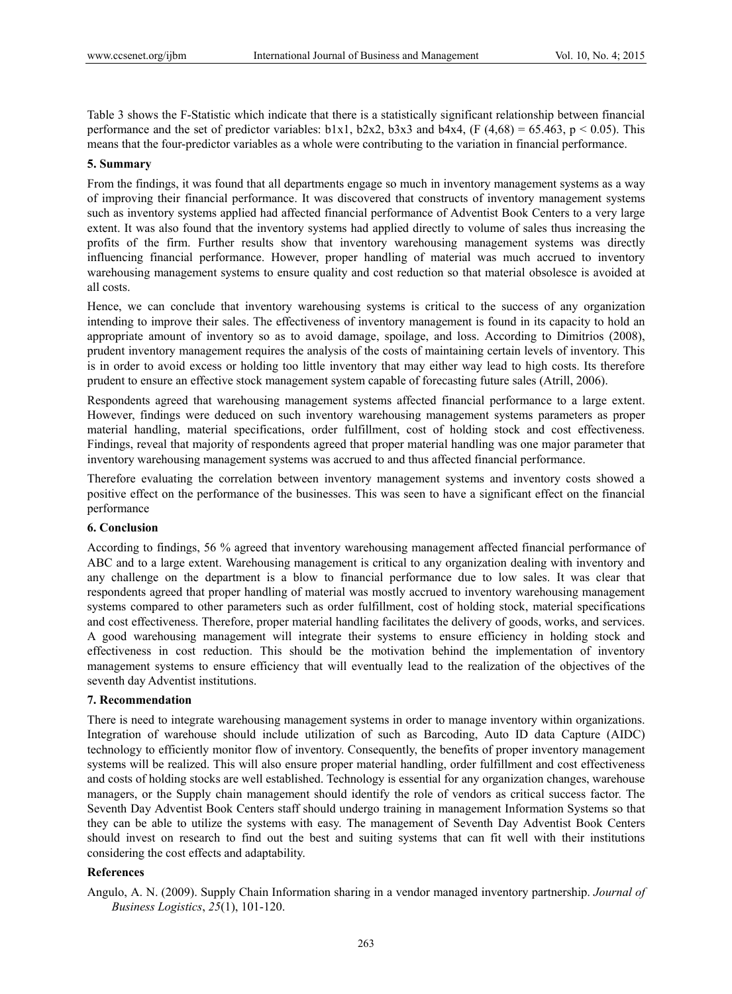Table 3 shows the F-Statistic which indicate that there is a statistically significant relationship between financial performance and the set of predictor variables:  $b1x1$ ,  $b2x2$ ,  $b3x3$  and  $b4x4$ , (F (4,68) = 65.463, p < 0.05). This means that the four-predictor variables as a whole were contributing to the variation in financial performance.

### **5. Summary**

From the findings, it was found that all departments engage so much in inventory management systems as a way of improving their financial performance. It was discovered that constructs of inventory management systems such as inventory systems applied had affected financial performance of Adventist Book Centers to a very large extent. It was also found that the inventory systems had applied directly to volume of sales thus increasing the profits of the firm. Further results show that inventory warehousing management systems was directly influencing financial performance. However, proper handling of material was much accrued to inventory warehousing management systems to ensure quality and cost reduction so that material obsolesce is avoided at all costs.

Hence, we can conclude that inventory warehousing systems is critical to the success of any organization intending to improve their sales. The effectiveness of inventory management is found in its capacity to hold an appropriate amount of inventory so as to avoid damage, spoilage, and loss. According to Dimitrios (2008), prudent inventory management requires the analysis of the costs of maintaining certain levels of inventory. This is in order to avoid excess or holding too little inventory that may either way lead to high costs. Its therefore prudent to ensure an effective stock management system capable of forecasting future sales (Atrill, 2006).

Respondents agreed that warehousing management systems affected financial performance to a large extent. However, findings were deduced on such inventory warehousing management systems parameters as proper material handling, material specifications, order fulfillment, cost of holding stock and cost effectiveness. Findings, reveal that majority of respondents agreed that proper material handling was one major parameter that inventory warehousing management systems was accrued to and thus affected financial performance.

Therefore evaluating the correlation between inventory management systems and inventory costs showed a positive effect on the performance of the businesses. This was seen to have a significant effect on the financial performance

# **6. Conclusion**

According to findings, 56 % agreed that inventory warehousing management affected financial performance of ABC and to a large extent. Warehousing management is critical to any organization dealing with inventory and any challenge on the department is a blow to financial performance due to low sales. It was clear that respondents agreed that proper handling of material was mostly accrued to inventory warehousing management systems compared to other parameters such as order fulfillment, cost of holding stock, material specifications and cost effectiveness. Therefore, proper material handling facilitates the delivery of goods, works, and services. A good warehousing management will integrate their systems to ensure efficiency in holding stock and effectiveness in cost reduction. This should be the motivation behind the implementation of inventory management systems to ensure efficiency that will eventually lead to the realization of the objectives of the seventh day Adventist institutions.

#### **7. Recommendation**

There is need to integrate warehousing management systems in order to manage inventory within organizations. Integration of warehouse should include utilization of such as Barcoding, Auto ID data Capture (AIDC) technology to efficiently monitor flow of inventory. Consequently, the benefits of proper inventory management systems will be realized. This will also ensure proper material handling, order fulfillment and cost effectiveness and costs of holding stocks are well established. Technology is essential for any organization changes, warehouse managers, or the Supply chain management should identify the role of vendors as critical success factor. The Seventh Day Adventist Book Centers staff should undergo training in management Information Systems so that they can be able to utilize the systems with easy. The management of Seventh Day Adventist Book Centers should invest on research to find out the best and suiting systems that can fit well with their institutions considering the cost effects and adaptability.

### **References**

Angulo, A. N. (2009). Supply Chain Information sharing in a vendor managed inventory partnership. *Journal of Business Logistics*, *25*(1), 101-120.